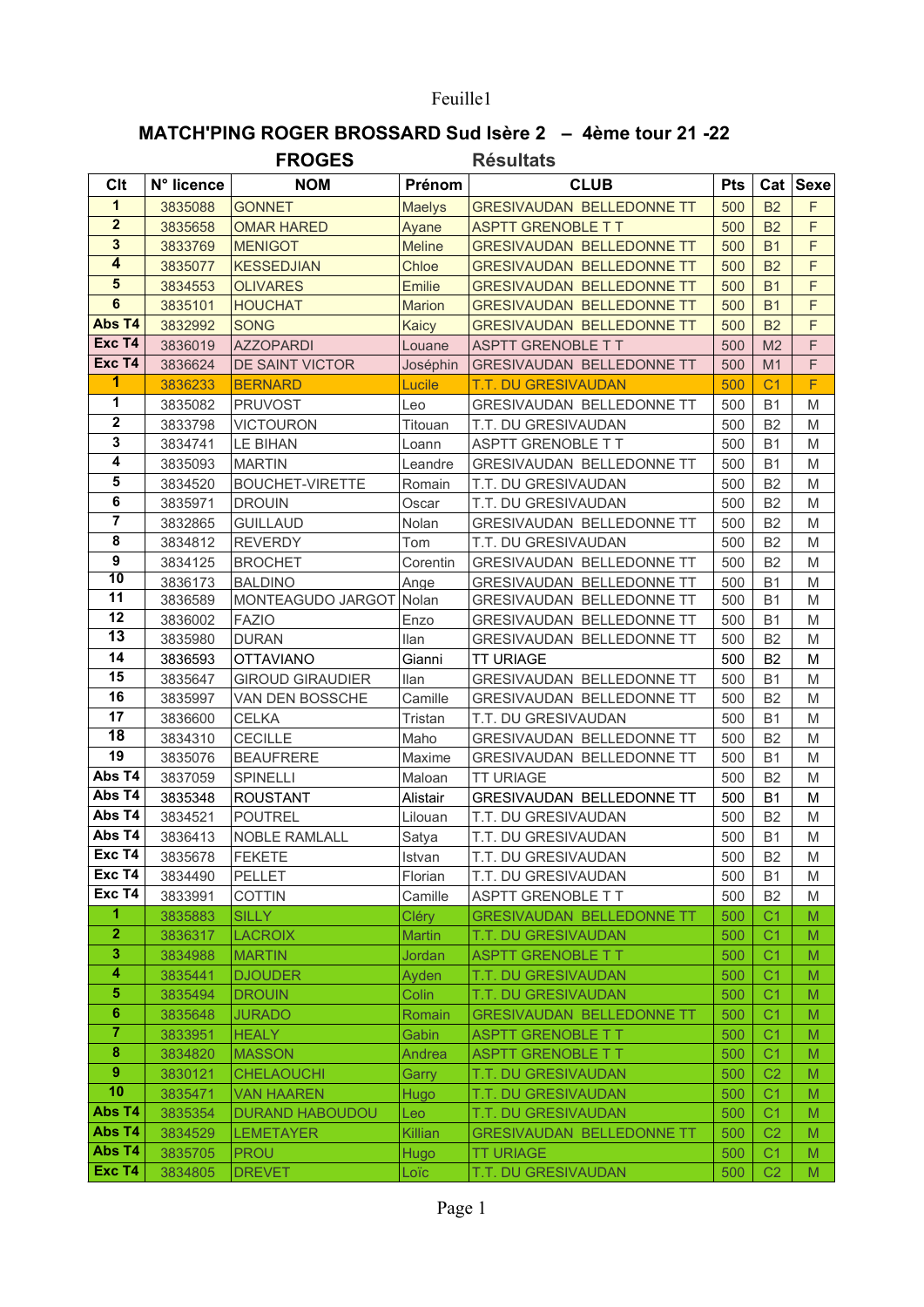## Feuille1

## MATCH'PING ROGER BROSSARD Sud Isère 2 - 4ème tour 21-22

|                         |                | <b>FROGES</b>           |                 | <b>Résultats</b>                 |                  |                |          |
|-------------------------|----------------|-------------------------|-----------------|----------------------------------|------------------|----------------|----------|
| Clt                     | N° licence     | <b>NOM</b>              | Prénom          | <b>CLUB</b>                      | <b>Pts</b>       |                | Cat Sexe |
| $\mathbf{1}$            | 3835088        | <b>GONNET</b>           | <b>Maelys</b>   | <b>GRESIVAUDAN BELLEDONNE TT</b> | 500              | <b>B2</b>      | F        |
| $\overline{2}$          | 3835658        | <b>OMAR HARED</b>       | Ayane           | <b>ASPTT GRENOBLE T T</b>        | 500              | <b>B2</b>      | F        |
| 3                       | 3833769        | <b>MENIGOT</b>          | <b>Meline</b>   | <b>GRESIVAUDAN BELLEDONNE TT</b> | 500              | <b>B1</b>      | F        |
| $\overline{\mathbf{4}}$ | 3835077        | <b>KESSEDJIAN</b>       | Chloe           | <b>GRESIVAUDAN BELLEDONNE TT</b> | 500              | <b>B2</b>      | F        |
| $5\phantom{1}$          | 3834553        | <b>OLIVARES</b>         | <b>Emilie</b>   | <b>GRESIVAUDAN BELLEDONNE TT</b> | 500              | <b>B1</b>      | F        |
| $\overline{6}$          | 3835101        | <b>HOUCHAT</b>          | <b>Marion</b>   | <b>GRESIVAUDAN BELLEDONNE TT</b> | 500              | <b>B1</b>      | F        |
| Abs T4                  | 3832992        | <b>SONG</b>             | Kaicy           | <b>GRESIVAUDAN BELLEDONNE TT</b> | 500              | <b>B2</b>      | F        |
| Exc T4                  | 3836019        | <b>AZZOPARDI</b>        | Louane          | <b>ASPTT GRENOBLE T T</b>        | 500              | M <sub>2</sub> | F        |
| Exc T4                  | 3836624        | DE SAINT VICTOR         | Joséphin        | <b>GRESIVAUDAN BELLEDONNE TT</b> | 500              | M1             | F        |
| 1                       | 3836233        | <b>BERNARD</b>          | Lucile          | <b>T.T. DU GRESIVAUDAN</b>       | 500              | C <sub>1</sub> | F        |
| 1                       | 3835082        | <b>PRUVOST</b>          | Leo             | GRESIVAUDAN BELLEDONNE TT        | 500              | <b>B1</b>      | M        |
| $\mathbf 2$             | 3833798        | <b>VICTOURON</b>        | Titouan         | T.T. DU GRESIVAUDAN              | 500              | B <sub>2</sub> | M        |
| 3                       | 3834741        | LE BIHAN                | Loann           | <b>ASPTT GRENOBLE T T</b>        | 500              | <b>B1</b>      | M        |
| 4                       | 3835093        | <b>MARTIN</b>           | Leandre         | <b>GRESIVAUDAN BELLEDONNE TT</b> | 500              | <b>B1</b>      | M        |
| ${\bf 5}$               | 3834520        | <b>BOUCHET-VIRETTE</b>  | Romain          | T.T. DU GRESIVAUDAN              | 500              | B <sub>2</sub> | M        |
| 6                       | 3835971        | <b>DROUIN</b>           | Oscar           | T.T. DU GRESIVAUDAN              | 500              | <b>B2</b>      | M        |
| 7                       | 3832865        | <b>GUILLAUD</b>         | Nolan           | GRESIVAUDAN BELLEDONNE TT        | 500              | B <sub>2</sub> | M        |
| 8                       | 3834812        | <b>REVERDY</b>          | Tom             | T.T. DU GRESIVAUDAN              | 500              | <b>B2</b>      | M        |
| $\boldsymbol{9}$        | 3834125        | <b>BROCHET</b>          | Corentin        | GRESIVAUDAN BELLEDONNE TT        | 500              | B <sub>2</sub> | M        |
| $\overline{10}$         | 3836173        | <b>BALDINO</b>          | Ange            | <b>GRESIVAUDAN BELLEDONNE TT</b> | 500              | <b>B1</b>      | M        |
| 11                      | 3836589        | MONTEAGUDO JARGOT       | Nolan           | GRESIVAUDAN BELLEDONNE TT        | 500              | <b>B1</b>      | M        |
| 12                      | 3836002        | <b>FAZIO</b>            | Enzo            | <b>GRESIVAUDAN BELLEDONNE TT</b> | 500              | <b>B1</b>      | M        |
| $\overline{13}$         | 3835980        | <b>DURAN</b>            | llan            | <b>GRESIVAUDAN BELLEDONNE TT</b> | 500              | B <sub>2</sub> | M        |
| 14                      | 3836593        | <b>OTTAVIANO</b>        | Gianni          | <b>TT URIAGE</b>                 | 500              | B <sub>2</sub> | М        |
| 15                      | 3835647        | <b>GIROUD GIRAUDIER</b> | <b>Ilan</b>     | GRESIVAUDAN BELLEDONNE TT        | 500              | <b>B1</b>      | M        |
| 16                      | 3835997        | VAN DEN BOSSCHE         | Camille         | GRESIVAUDAN BELLEDONNE TT        | 500              | B <sub>2</sub> | M        |
| 17                      | 3836600        | <b>CELKA</b>            | Tristan         | T.T. DU GRESIVAUDAN              | 500              | <b>B1</b>      | M        |
| $\overline{18}$         | 3834310        | <b>CECILLE</b>          | Maho            | GRESIVAUDAN BELLEDONNE TT        | 500              | B <sub>2</sub> | M        |
| 19                      | 3835076        | <b>BEAUFRERE</b>        | Maxime          | <b>GRESIVAUDAN BELLEDONNE TT</b> | 500              | <b>B1</b>      | M        |
| Abs T4                  | 3837059        | <b>SPINELLI</b>         | Maloan          | <b>TT URIAGE</b>                 | 500              | B <sub>2</sub> | M        |
| Abs T4                  | 3835348        | <b>ROUSTANT</b>         | <b>Alistair</b> | GRESIVAUDAN BELLEDONNE TT        | 500              | <b>B1</b>      | M        |
| Abs T4                  | 3834521        | <b>POUTREL</b>          | Lilouan         | T.T. DU GRESIVAUDAN              | 500              | <b>B2</b>      | M        |
| Abs T4                  | 3836413        | <b>NOBLE RAMLALL</b>    | Satya           | T.T. DU GRESIVAUDAN              | 500              | <b>B1</b>      | M        |
| Exc T4                  | 3835678        | <b>FEKETE</b>           | Istvan          | T.T. DU GRESIVAUDAN              | 500              | B <sub>2</sub> | M        |
| Exc T4                  | 3834490        | <b>PELLET</b>           | Florian         | T.T. DU GRESIVAUDAN              | 500              | <b>B1</b>      | M        |
| Exc T4                  | 3833991        | <b>COTTIN</b>           | Camille         | ASPTT GRENOBLE T T               | 500              | B <sub>2</sub> | M        |
| 1                       | 3835883        | <b>SILLY</b>            | <b>Cléry</b>    | <b>GRESIVAUDAN BELLEDONNE TT</b> | 500              | C <sub>1</sub> | M        |
| $\overline{2}$          | 3836317        | <b>LACROIX</b>          | <b>Martin</b>   | <b>T.T. DU GRESIVAUDAN</b>       | 500              | C <sub>1</sub> | M        |
| 3                       | 3834988        | <b>MARTIN</b>           | Jordan          | <b>ASPTT GRENOBLE T T</b>        | 500              | C <sub>1</sub> | M        |
| 4                       | 3835441        | <b>DJOUDER</b>          | Ayden           | T.T. DU GRESIVAUDAN              | 500              | C <sub>1</sub> | M        |
| ${\bf 5}$               | 3835494        | <b>DROUIN</b>           | Colin           | T.T. DU GRESIVAUDAN              | 500              | C <sub>1</sub> | M        |
| $\bf 6$                 | 3835648        | <b>JURADO</b>           | Romain          | <b>GRESIVAUDAN BELLEDONNE TT</b> | 500              | C <sub>1</sub> | M        |
| $\overline{7}$          | 3833951        | <b>HEALY</b>            | Gabin           | <b>ASPTT GRENOBLE T T</b>        | 500              | C <sub>1</sub> | M        |
| $\bf8$                  | 3834820        | <b>MASSON</b>           | Andrea          | <b>ASPTT GRENOBLE T T</b>        | 500              | C <sub>1</sub> | M        |
| $\pmb{9}$               | 3830121        | <b>CHELAOUCHI</b>       | Garry           | T.T. DU GRESIVAUDAN              | 500              | C <sub>2</sub> | M        |
| 10                      | 3835471        | <b>VAN HAAREN</b>       | Hugo            | T.T. DU GRESIVAUDAN              | 500              | C <sub>1</sub> | M        |
| Abs T4                  | 3835354        | <b>DURAND HABOUDOU</b>  | Leo             | T.T. DU GRESIVAUDAN              | 500              | C <sub>1</sub> | M        |
| Abs T4                  | 3834529        | <b>LEMETAYER</b>        | Killian         | <b>GRESIVAUDAN BELLEDONNE TT</b> | 500              | C <sub>2</sub> | M        |
| Abs T4                  | 3835705        | <b>PROU</b>             | Hugo            | <b>TT URIAGE</b>                 | 500              | C <sub>1</sub> | M        |
| Exc T4                  | 3834805 DREVET |                         | Loïc.           | <b>T.T. DU GRESIVAUDAN</b>       | 500 <sub>1</sub> | C <sub>2</sub> | M        |